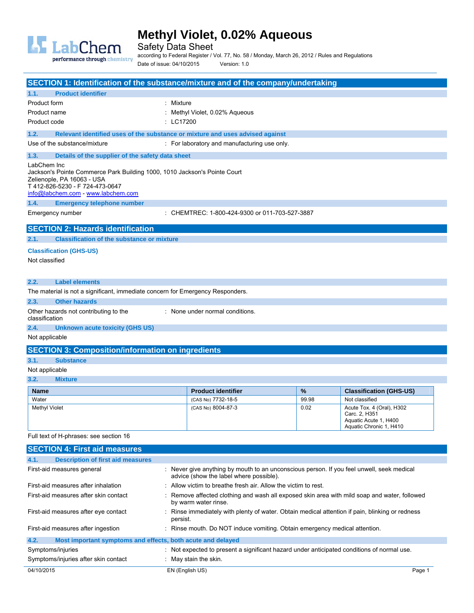

Safety Data Sheet

according to Federal Register / Vol. 77, No. 58 / Monday, March 26, 2012 / Rules and Regulations

Date of issue: 04/10/2015 Version: 1.0

| SECTION 1: Identification of the substance/mixture and of the company/undertaking                                                                                                             |           |                                                                                               |       |                                                                                                |
|-----------------------------------------------------------------------------------------------------------------------------------------------------------------------------------------------|-----------|-----------------------------------------------------------------------------------------------|-------|------------------------------------------------------------------------------------------------|
| <b>Product identifier</b><br>1.1.                                                                                                                                                             |           |                                                                                               |       |                                                                                                |
| Product form                                                                                                                                                                                  | : Mixture |                                                                                               |       |                                                                                                |
| Product name                                                                                                                                                                                  |           | : Methyl Violet, 0.02% Aqueous                                                                |       |                                                                                                |
| Product code                                                                                                                                                                                  | : LC17200 |                                                                                               |       |                                                                                                |
| 1.2.<br>Relevant identified uses of the substance or mixture and uses advised against                                                                                                         |           |                                                                                               |       |                                                                                                |
| Use of the substance/mixture                                                                                                                                                                  |           | : For laboratory and manufacturing use only.                                                  |       |                                                                                                |
| 1.3.<br>Details of the supplier of the safety data sheet                                                                                                                                      |           |                                                                                               |       |                                                                                                |
| LabChem Inc<br>Jackson's Pointe Commerce Park Building 1000, 1010 Jackson's Pointe Court<br>Zelienople, PA 16063 - USA<br>T412-826-5230 - F724-473-0647<br>info@labchem.com - www.labchem.com |           |                                                                                               |       |                                                                                                |
| 1.4.<br><b>Emergency telephone number</b>                                                                                                                                                     |           |                                                                                               |       |                                                                                                |
| Emergency number                                                                                                                                                                              |           | : CHEMTREC: 1-800-424-9300 or 011-703-527-3887                                                |       |                                                                                                |
| <b>SECTION 2: Hazards identification</b>                                                                                                                                                      |           |                                                                                               |       |                                                                                                |
| 2.1.<br><b>Classification of the substance or mixture</b>                                                                                                                                     |           |                                                                                               |       |                                                                                                |
| <b>Classification (GHS-US)</b>                                                                                                                                                                |           |                                                                                               |       |                                                                                                |
| Not classified                                                                                                                                                                                |           |                                                                                               |       |                                                                                                |
| 2.2.<br><b>Label elements</b>                                                                                                                                                                 |           |                                                                                               |       |                                                                                                |
| The material is not a significant, immediate concern for Emergency Responders.                                                                                                                |           |                                                                                               |       |                                                                                                |
| 2.3.<br><b>Other hazards</b>                                                                                                                                                                  |           |                                                                                               |       |                                                                                                |
| Other hazards not contributing to the<br>classification                                                                                                                                       |           | : None under normal conditions.                                                               |       |                                                                                                |
| 2.4.<br><b>Unknown acute toxicity (GHS US)</b>                                                                                                                                                |           |                                                                                               |       |                                                                                                |
| Not applicable                                                                                                                                                                                |           |                                                                                               |       |                                                                                                |
| <b>SECTION 3: Composition/information on ingredients</b>                                                                                                                                      |           |                                                                                               |       |                                                                                                |
| 3.1.<br><b>Substance</b>                                                                                                                                                                      |           |                                                                                               |       |                                                                                                |
| Not applicable                                                                                                                                                                                |           |                                                                                               |       |                                                                                                |
| 3.2.<br><b>Mixture</b>                                                                                                                                                                        |           |                                                                                               |       |                                                                                                |
| <b>Name</b>                                                                                                                                                                                   |           | <b>Product identifier</b>                                                                     | %     | <b>Classification (GHS-US)</b>                                                                 |
| Water                                                                                                                                                                                         |           | (CAS No) 7732-18-5                                                                            | 99.98 | Not classified                                                                                 |
| Methyl Violet                                                                                                                                                                                 |           | (CAS No) 8004-87-3                                                                            | 0.02  | Acute Tox. 4 (Oral), H302<br>Carc. 2, H351<br>Aquatic Acute 1, H400<br>Aquatic Chronic 1, H410 |
| Full text of H-phrases: see section 16                                                                                                                                                        |           |                                                                                               |       |                                                                                                |
| <b>SECTION 4: First aid measures</b>                                                                                                                                                          |           |                                                                                               |       |                                                                                                |
| 4.1.<br><b>Description of first aid measures</b>                                                                                                                                              |           |                                                                                               |       |                                                                                                |
| First-aid measures general<br>: Never give anything by mouth to an unconscious person. If you feel unwell, seek medical<br>advice (show the label where possible).                            |           |                                                                                               |       |                                                                                                |
| : Allow victim to breathe fresh air. Allow the victim to rest.<br>First-aid measures after inhalation                                                                                         |           |                                                                                               |       |                                                                                                |
| First-aid measures after skin contact<br>Remove affected clothing and wash all exposed skin area with mild soap and water, followed<br>by warm water rinse.                                   |           |                                                                                               |       |                                                                                                |
| First-aid measures after eye contact                                                                                                                                                          | persist.  | Rinse immediately with plenty of water. Obtain medical attention if pain, blinking or redness |       |                                                                                                |

| Most important symptoms and effects, both acute and delayed<br>4.2. |                                                                                            |        |
|---------------------------------------------------------------------|--------------------------------------------------------------------------------------------|--------|
| Symptoms/injuries                                                   | : Not expected to present a significant hazard under anticipated conditions of normal use. |        |
| Symptoms/injuries after skin contact                                | $\therefore$ May stain the skin.                                                           |        |
| 04/10/2015                                                          | EN (English US)                                                                            | Page 1 |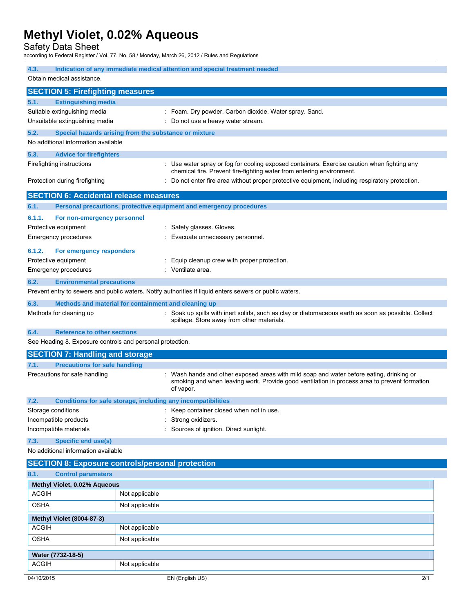Safety Data Sheet

according to Federal Register / Vol. 77, No. 58 / Monday, March 26, 2012 / Rules and Regulations

| Indication of any immediate medical attention and special treatment needed<br>4.3. |                                               |                                                                                                                                                                                                     |  |
|------------------------------------------------------------------------------------|-----------------------------------------------|-----------------------------------------------------------------------------------------------------------------------------------------------------------------------------------------------------|--|
| Obtain medical assistance.                                                         |                                               |                                                                                                                                                                                                     |  |
|                                                                                    | <b>SECTION 5: Firefighting measures</b>       |                                                                                                                                                                                                     |  |
| 5.1.                                                                               | <b>Extinguishing media</b>                    |                                                                                                                                                                                                     |  |
|                                                                                    | Suitable extinguishing media                  | : Foam. Dry powder. Carbon dioxide. Water spray. Sand.                                                                                                                                              |  |
|                                                                                    | Unsuitable extinguishing media                | : Do not use a heavy water stream.                                                                                                                                                                  |  |
| 5.2.                                                                               |                                               | Special hazards arising from the substance or mixture                                                                                                                                               |  |
|                                                                                    | No additional information available           |                                                                                                                                                                                                     |  |
| 5.3.                                                                               | <b>Advice for firefighters</b>                |                                                                                                                                                                                                     |  |
|                                                                                    | Firefighting instructions                     | : Use water spray or fog for cooling exposed containers. Exercise caution when fighting any<br>chemical fire. Prevent fire-fighting water from entering environment.                                |  |
|                                                                                    | Protection during firefighting                | : Do not enter fire area without proper protective equipment, including respiratory protection.                                                                                                     |  |
|                                                                                    | <b>SECTION 6: Accidental release measures</b> |                                                                                                                                                                                                     |  |
| 6.1.                                                                               |                                               | Personal precautions, protective equipment and emergency procedures                                                                                                                                 |  |
| 6.1.1.                                                                             | For non-emergency personnel                   |                                                                                                                                                                                                     |  |
|                                                                                    | Protective equipment                          | : Safety glasses. Gloves.                                                                                                                                                                           |  |
|                                                                                    | Emergency procedures                          | Evacuate unnecessary personnel.                                                                                                                                                                     |  |
| 6.1.2.                                                                             | For emergency responders                      |                                                                                                                                                                                                     |  |
|                                                                                    | Protective equipment                          | : Equip cleanup crew with proper protection.                                                                                                                                                        |  |
|                                                                                    | <b>Emergency procedures</b>                   | : Ventilate area.                                                                                                                                                                                   |  |
| 6.2.                                                                               | <b>Environmental precautions</b>              |                                                                                                                                                                                                     |  |
|                                                                                    |                                               | Prevent entry to sewers and public waters. Notify authorities if liquid enters sewers or public waters.                                                                                             |  |
| 6.3.                                                                               |                                               | Methods and material for containment and cleaning up                                                                                                                                                |  |
|                                                                                    | Methods for cleaning up                       | : Soak up spills with inert solids, such as clay or diatomaceous earth as soon as possible. Collect<br>spillage. Store away from other materials.                                                   |  |
| 6.4.                                                                               | <b>Reference to other sections</b>            |                                                                                                                                                                                                     |  |
|                                                                                    |                                               | See Heading 8. Exposure controls and personal protection.                                                                                                                                           |  |
|                                                                                    | <b>SECTION 7: Handling and storage</b>        |                                                                                                                                                                                                     |  |
| 7.1.                                                                               | <b>Precautions for safe handling</b>          |                                                                                                                                                                                                     |  |
|                                                                                    | Precautions for safe handling                 | Wash hands and other exposed areas with mild soap and water before eating, drinking or<br>smoking and when leaving work. Provide good ventilation in process area to prevent formation<br>of vapor. |  |
| 7.2.                                                                               |                                               | Conditions for safe storage, including any incompatibilities                                                                                                                                        |  |
|                                                                                    | Storage conditions                            | Keep container closed when not in use.                                                                                                                                                              |  |
|                                                                                    | Incompatible products                         | Strong oxidizers.                                                                                                                                                                                   |  |
|                                                                                    | Incompatible materials                        | Sources of ignition. Direct sunlight.                                                                                                                                                               |  |
| <b>Specific end use(s)</b><br>7.3.<br>No additional information available          |                                               |                                                                                                                                                                                                     |  |
|                                                                                    |                                               |                                                                                                                                                                                                     |  |
| 8.1.                                                                               | <b>Control parameters</b>                     | <b>SECTION 8: Exposure controls/personal protection</b>                                                                                                                                             |  |
|                                                                                    | Methyl Violet, 0.02% Aqueous                  |                                                                                                                                                                                                     |  |
| ACGIH                                                                              |                                               | Not applicable                                                                                                                                                                                      |  |
| OSHA                                                                               |                                               | Not applicable                                                                                                                                                                                      |  |
| <b>Methyl Violet (8004-87-3)</b>                                                   |                                               |                                                                                                                                                                                                     |  |
| <b>ACGIH</b>                                                                       |                                               | Not applicable                                                                                                                                                                                      |  |
| <b>OSHA</b>                                                                        |                                               | Not applicable                                                                                                                                                                                      |  |

| ັບບ: ທ່າ          | <b>TYOT applicable</b> |     |
|-------------------|------------------------|-----|
| Water (7732-18-5) |                        |     |
| ACGIH             | Not applicable         |     |
| 04/10/2015        | EN (English US)        | 2/1 |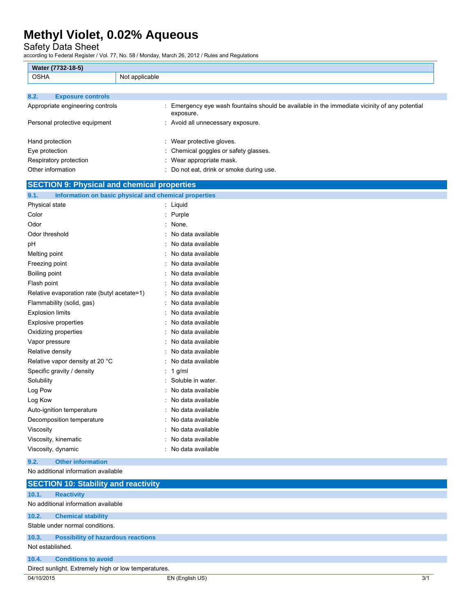### Safety Data Sheet

|                                                    | ccording to Federal Register / Vol. 77, No. 58 / Monday, March 26, 2012 / Rules and Regulations          |
|----------------------------------------------------|----------------------------------------------------------------------------------------------------------|
| Water (7732-18-5)                                  |                                                                                                          |
| <b>OSHA</b>                                        | Not applicable                                                                                           |
|                                                    |                                                                                                          |
| <b>Exposure controls</b><br>8.2.                   |                                                                                                          |
| Appropriate engineering controls                   | Emergency eye wash fountains should be available in the immediate vicinity of any potential<br>exposure. |
| Personal protective equipment                      | : Avoid all unnecessary exposure.                                                                        |
| Hand protection                                    | Wear protective gloves.                                                                                  |
| Eye protection                                     | Chemical goggles or safety glasses.                                                                      |
| Respiratory protection                             | Wear appropriate mask.                                                                                   |
| Other information                                  | Do not eat, drink or smoke during use.                                                                   |
| <b>SECTION 9: Physical and chemical properties</b> |                                                                                                          |
| 9.1.                                               | Information on basic physical and chemical properties                                                    |
| Physical state                                     | : Liquid                                                                                                 |
| Color                                              | : Purple                                                                                                 |
| Odor                                               | None.                                                                                                    |
| Odor threshold                                     | No data available                                                                                        |
| pН                                                 | No data available                                                                                        |
| Melting point                                      | No data available                                                                                        |
| Freezing point                                     | No data available                                                                                        |
| Boiling point                                      | No data available                                                                                        |
| Flash point                                        | No data available                                                                                        |
| Relative evaporation rate (butyl acetate=1)        | No data available                                                                                        |
| Flammability (solid, gas)                          | No data available                                                                                        |
| <b>Explosion limits</b>                            | No data available                                                                                        |
| Explosive properties                               | No data available                                                                                        |
| Oxidizing properties                               | No data available                                                                                        |
| Vapor pressure                                     | No data available                                                                                        |
| Relative density                                   | No data available                                                                                        |
| Relative vapor density at 20 °C                    | No data available                                                                                        |
| Specific gravity / density                         | 1 g/ml                                                                                                   |
| Solubility                                         | Soluble in water.                                                                                        |
| Log Pow                                            | No data available                                                                                        |
| Log Kow                                            | : No data available                                                                                      |
| Auto-ignition temperature                          | No data available                                                                                        |
| Decomposition temperature                          | No data available                                                                                        |
| Viscosity                                          | No data available                                                                                        |
| Viscosity, kinematic                               | No data available                                                                                        |
| Viscosity, dynamic                                 | No data available                                                                                        |
| <b>Other information</b><br>9.2.                   |                                                                                                          |
| No additional information available                |                                                                                                          |

|                                                      | <b>SECTION 10: Stability and reactivity</b> |     |  |  |
|------------------------------------------------------|---------------------------------------------|-----|--|--|
| 10.1.                                                | <b>Reactivity</b>                           |     |  |  |
|                                                      | No additional information available         |     |  |  |
| 10.2.                                                | <b>Chemical stability</b>                   |     |  |  |
|                                                      | Stable under normal conditions.             |     |  |  |
| 10.3.                                                | <b>Possibility of hazardous reactions</b>   |     |  |  |
| Not established.                                     |                                             |     |  |  |
| 10.4.                                                | <b>Conditions to avoid</b>                  |     |  |  |
| Direct sunlight. Extremely high or low temperatures. |                                             |     |  |  |
| 04/10/2015                                           | EN (English US)                             | 3/1 |  |  |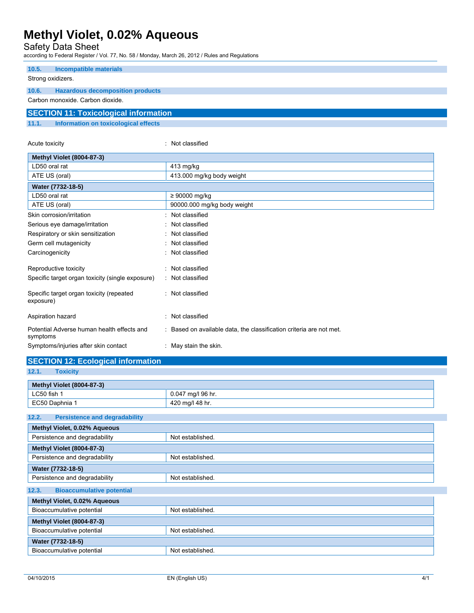Safety Data Sheet

according to Federal Register / Vol. 77, No. 58 / Monday, March 26, 2012 / Rules and Regulations

| 10.5.                            | Incompatible materials                       |  |
|----------------------------------|----------------------------------------------|--|
| Strong oxidizers.                |                                              |  |
| 10.6.                            | <b>Hazardous decomposition products</b>      |  |
| Carbon monoxide, Carbon dioxide. |                                              |  |
|                                  | <b>SECTION 11: Toxicological information</b> |  |
| 11.1.                            | Information on toxicological effects         |  |

| Acute toxicity                                         | : Not classified                                                    |
|--------------------------------------------------------|---------------------------------------------------------------------|
| <b>Methyl Violet (8004-87-3)</b>                       |                                                                     |
| LD50 oral rat                                          | 413 mg/kg                                                           |
| ATE US (oral)                                          | 413.000 mg/kg body weight                                           |
| Water (7732-18-5)                                      |                                                                     |
| LD50 oral rat                                          | $\geq 90000$ mg/kg                                                  |
| ATE US (oral)                                          | 90000.000 mg/kg body weight                                         |
| Skin corrosion/irritation                              | : Not classified                                                    |
| Serious eye damage/irritation                          | : Not classified                                                    |
| Respiratory or skin sensitization                      | : Not classified                                                    |
| Germ cell mutagenicity                                 | : Not classified                                                    |
| Carcinogenicity                                        | : Not classified                                                    |
| Reproductive toxicity                                  | : Not classified                                                    |
| Specific target organ toxicity (single exposure)       | : Not classified                                                    |
| Specific target organ toxicity (repeated<br>exposure)  | : Not classified                                                    |
| Aspiration hazard                                      | : Not classified                                                    |
| Potential Adverse human health effects and<br>symptoms | : Based on available data, the classification criteria are not met. |
| Symptoms/injuries after skin contact                   | : May stain the skin.                                               |

## **SECTION 12: Ecological information**

**12.1. Toxicity** 

| Methyl Violet (8004-87-3) |                   |  |
|---------------------------|-------------------|--|
| LC50 fish 1               | 0.047 mg/l 96 hr. |  |
| EC50 Daphnia 1            | 420 mg/l 48 hr.   |  |

| 12.2.<br><b>Persistence and degradability</b>     |                  |  |
|---------------------------------------------------|------------------|--|
| Methyl Violet, 0.02% Aqueous                      |                  |  |
| Persistence and degradability                     | Not established. |  |
| <b>Methyl Violet (8004-87-3)</b>                  |                  |  |
| Persistence and degradability                     | Not established. |  |
| Water (7732-18-5)                                 |                  |  |
| Persistence and degradability<br>Not established. |                  |  |
| <b>Bioaccumulative potential</b><br>12.3.         |                  |  |
| Methyl Violet, 0.02% Aqueous                      |                  |  |
| Bioaccumulative potential<br>Not established.     |                  |  |
| <b>Methyl Violet (8004-87-3)</b>                  |                  |  |
| Bioaccumulative potential<br>Not established.     |                  |  |
| Water (7732-18-5)                                 |                  |  |
| Bioaccumulative potential<br>Not established.     |                  |  |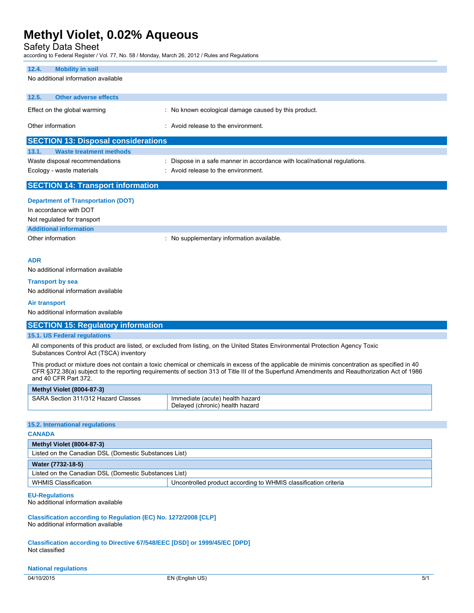Safety Data Sheet

according to Federal Register / Vol. 77, No. 58 / Monday, March 26, 2012 / Rules and Regulations

#### **12.4. Mobility in soil**

No additional information available

| <b>SECTION 13: Disposal considerations</b>               |                              |                                                      |  |
|----------------------------------------------------------|------------------------------|------------------------------------------------------|--|
| Other information<br>: Avoid release to the environment. |                              |                                                      |  |
|                                                          | Effect on the global warming | : No known ecological damage caused by this product. |  |
| 12.5.                                                    | Other adverse effects        |                                                      |  |
|                                                          |                              |                                                      |  |

| 13.1.<br><b>Waste treatment methods</b> |                                                                         |
|-----------------------------------------|-------------------------------------------------------------------------|
| Waste disposal recommendations          | Dispose in a safe manner in accordance with local/national regulations. |
| Ecology - waste materials               | Avoid release to the environment.                                       |

### **SECTION 14: Transport information**

| <b>Department of Transportation (DOT)</b> |                                           |
|-------------------------------------------|-------------------------------------------|
| In accordance with DOT                    |                                           |
| Not regulated for transport               |                                           |
| <b>Additional information</b>             |                                           |
| Other information                         | : No supplementary information available. |

#### **ADR**

No additional information available

## **Transport by sea**

No additional information available

#### **Air transport**

No additional information available

## **SECTION 15: Regulatory information**

### **15.1. US Federal regulations**

All components of this product are listed, or excluded from listing, on the United States Environmental Protection Agency Toxic Substances Control Act (TSCA) inventory

This product or mixture does not contain a toxic chemical or chemicals in excess of the applicable de minimis concentration as specified in 40 CFR §372.38(a) subject to the reporting requirements of section 313 of Title III of the Superfund Amendments and Reauthorization Act of 1986 and 40 CFR Part 372.

| <b>Methyl Violet (8004-87-3)</b>    |                                 |  |
|-------------------------------------|---------------------------------|--|
| SARA Section 311/312 Hazard Classes | Immediate (acute) health hazard |  |
|                                     | Delaved (chronic) health hazard |  |

#### **15.2. International regulations**

## **CANADA Methyl Violet (8004-87-3)**  Listed on the Canadian DSL (Domestic Substances List) **Water (7732-18-5)**  Listed on the Canadian DSL (Domestic Substances List) WHMIS Classification **Uncontrolled product according to WHMIS classification criteria**

#### **EU-Regulations**

No additional information available

**Classification according to Regulation (EC) No. 1272/2008 [CLP]**  No additional information available

**Classification according to Directive 67/548/EEC [DSD] or 1999/45/EC [DPD]**  Not classified

#### **National regulations**